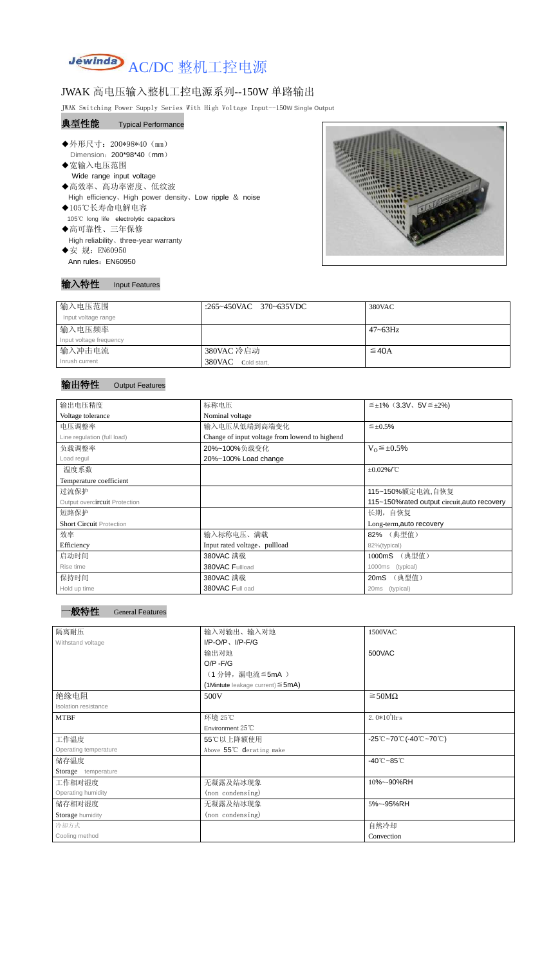

## JWAK 高电压输入整机工控电源系列--150W 单路输出

JWAK Switching Power Supply Series With High Voltage Input--150**W Single Output**

#### 典型性能 Typical Performance

- ◆外形尺寸: 200\*98\*40 (mm) Dimension: 200\*98\*40 (mm)
- ◆宽输入电压范围 Wide range input voltage ◆高效率、高功率密度、低纹波
- High efficiency、High power density、Low ripple & noise ◆105℃长寿命电解电容
- 105℃ long life electrolytic capacitors
- ◆高可靠性、三年保修 High reliability、three-year warranty ◆安 规: EN60950 Ann rules: EN60950



### 输入特性 Input Features

| 输入电压范围                  | :265~450VAC 370~635VDC | 380VAC     |
|-------------------------|------------------------|------------|
| Input voltage range     |                        |            |
| 输入电压频率                  |                        | 47~63Hz    |
| Input voltage frequency |                        |            |
| 输入冲击电流                  | 380VAC 冷启动             | $\leq$ 40A |
| Inrush current          | 380VAC Cold start,     |            |

#### 输出特性 Output Features





| OCHUM I GUNUIGO |  |  |
|-----------------|--|--|
|                 |  |  |

| 输出电压精度                          | 标称电压                                           | $\leq \pm 1\%$ (3.3V, 5V $\leq \pm 2\%$ ) |  |
|---------------------------------|------------------------------------------------|-------------------------------------------|--|
| Voltage tolerance               | Nominal voltage                                |                                           |  |
| 电压调整率                           | 输入电压从低端到高端变化                                   | $\leq \pm 0.5\%$                          |  |
| Line regulation (full load)     | Change of input voltage from lowend to highend |                                           |  |
| 负载调整率                           | 20%~100%负载变化                                   | $V_0 \leq \pm 0.5\%$                      |  |
| Load regul                      | 20%~100% Load change                           |                                           |  |
| 温度系数                            |                                                | $\pm 0.02\%$ /°C                          |  |
| Temperature coefficient         |                                                |                                           |  |
| 过流保护                            |                                                | 115~150%额定电流,自恢复                          |  |
| Output overcircuit Protection   | 115~150% rated output circuit, auto recovery   |                                           |  |
| 短路保护                            | 长期, 自恢复                                        |                                           |  |
| <b>Short Circuit Protection</b> |                                                | Long-term, auto recovery                  |  |
| 效率                              | 输入标称电压、满载                                      | 82% (典型值)                                 |  |
| Efficiency                      | Input rated voltage, pullload                  | 82%(typical)                              |  |
| 启动时间                            | 380VAC 满载                                      | (典型值)<br>1000mS                           |  |
| Rise time                       | 380VAC Fullload                                | (typical)<br>1000ms                       |  |
| 保持时间                            | 380VAC 满载                                      | (典型值)<br>20mS                             |  |
| Hold up time                    | 380VAC Full oad                                | 20 <sub>ms</sub><br>(typical)             |  |

| 隔离耐压                  | 输入对输出、输入对地                             | 1500VAC                                                                               |  |
|-----------------------|----------------------------------------|---------------------------------------------------------------------------------------|--|
| Withstand voltage     | $I/P-O/P$ , $I/P-F/G$                  |                                                                                       |  |
|                       | 输出对地                                   | 500VAC                                                                                |  |
|                       | $O/P - F/G$                            |                                                                                       |  |
|                       | (1分钟,漏电流 ≦5mA)                         |                                                                                       |  |
|                       | (1Mintute leakage current) $\leq$ 5mA) |                                                                                       |  |
| 绝缘电阻                  | 500V                                   | $\geq$ 50M $\Omega$                                                                   |  |
| Isolation resistance  |                                        |                                                                                       |  |
| <b>MTBF</b>           | 环境 25℃                                 | $2.0*105$ Hrs                                                                         |  |
|                       | Environment $25^{\circ}$ C             |                                                                                       |  |
| 工作温度                  | 55℃以上降额使用                              | $-25^{\circ}\text{C}-70^{\circ}\text{C}$ (-40 $^{\circ}\text{C}-70^{\circ}\text{C}$ ) |  |
| Operating temperature | Above 55°C derating make               |                                                                                       |  |
| 储存温度                  |                                        | $-40^{\circ}$ C $-85^{\circ}$ C                                                       |  |
| Storage temperature   |                                        |                                                                                       |  |
| 工作相对湿度                | 无凝露及结冰现象                               | 10%~-90%RH                                                                            |  |
| Operating humidity    | (non condensing)                       |                                                                                       |  |
| 储存相对湿度                | 无凝露及结冰现象                               | 5%~-95%RH                                                                             |  |
| Storage humidity      | (non condensing)                       |                                                                                       |  |
| 冷却方式                  |                                        | 自然冷却                                                                                  |  |
| Cooling method        |                                        | Convection                                                                            |  |